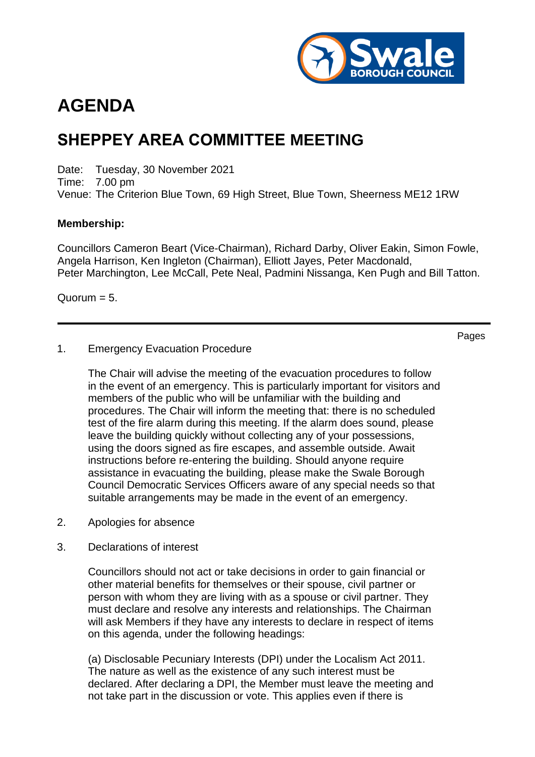

# **AGENDA**

## **SHEPPEY AREA COMMITTEE MEETING**

Date: Tuesday, 30 November 2021 Time: 7.00 pm Venue: The Criterion Blue Town, 69 High Street, Blue Town, Sheerness ME12 1RW

#### **Membership:**

Councillors Cameron Beart (Vice-Chairman), Richard Darby, Oliver Eakin, Simon Fowle, Angela Harrison, Ken Ingleton (Chairman), Elliott Jayes, Peter Macdonald, Peter Marchington, Lee McCall, Pete Neal, Padmini Nissanga, Ken Pugh and Bill Tatton.

Quorum  $= 5$ .

Pages

#### 1. Emergency Evacuation Procedure

The Chair will advise the meeting of the evacuation procedures to follow in the event of an emergency. This is particularly important for visitors and members of the public who will be unfamiliar with the building and procedures. The Chair will inform the meeting that: there is no scheduled test of the fire alarm during this meeting. If the alarm does sound, please leave the building quickly without collecting any of your possessions, using the doors signed as fire escapes, and assemble outside. Await instructions before re-entering the building. Should anyone require assistance in evacuating the building, please make the Swale Borough Council Democratic Services Officers aware of any special needs so that suitable arrangements may be made in the event of an emergency.

- 2. Apologies for absence
- 3. Declarations of interest

Councillors should not act or take decisions in order to gain financial or other material benefits for themselves or their spouse, civil partner or person with whom they are living with as a spouse or civil partner. They must declare and resolve any interests and relationships. The Chairman will ask Members if they have any interests to declare in respect of items on this agenda, under the following headings:

(a) Disclosable Pecuniary Interests (DPI) under the Localism Act 2011. The nature as well as the existence of any such interest must be declared. After declaring a DPI, the Member must leave the meeting and not take part in the discussion or vote. This applies even if there is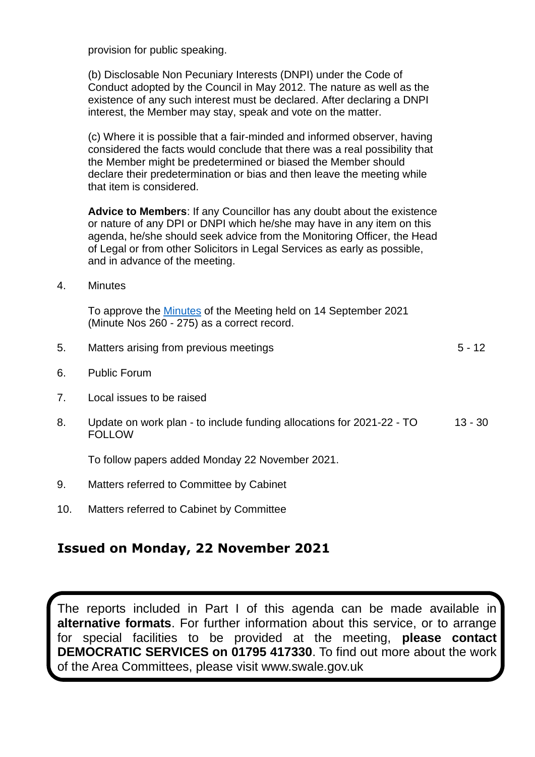provision for public speaking.

(b) Disclosable Non Pecuniary Interests (DNPI) under the Code of Conduct adopted by the Council in May 2012. The nature as well as the existence of any such interest must be declared. After declaring a DNPI interest, the Member may stay, speak and vote on the matter.

(c) Where it is possible that a fair-minded and informed observer, having considered the facts would conclude that there was a real possibility that the Member might be predetermined or biased the Member should declare their predetermination or bias and then leave the meeting while that item is considered.

**Advice to Members**: If any Councillor has any doubt about the existence or nature of any DPI or DNPI which he/she may have in any item on this agenda, he/she should seek advice from the Monitoring Officer, the Head of Legal or from other Solicitors in Legal Services as early as possible, and in advance of the meeting.

4. Minutes

To approve the [Minutes](https://services.swale.gov.uk/meetings/documents/g3465/Printed%20minutes%20Tuesday%2014-Sep-2021%2019.00%20Sheppey%20Area%20Committee.pdf?T=1) of the Meeting held on 14 September 2021 (Minute Nos 260 - 275) as a correct record.

| 5. | Matters arising from previous meetings                                                 | $5 - 12$  |
|----|----------------------------------------------------------------------------------------|-----------|
| 6. | <b>Public Forum</b>                                                                    |           |
| 7. | Local issues to be raised                                                              |           |
| 8. | Update on work plan - to include funding allocations for 2021-22 - TO<br><b>FOLLOW</b> | $13 - 30$ |
|    | To follow papers added Monday 22 November 2021.                                        |           |
| 9. | Matters referred to Committee by Cabinet                                               |           |

10. Matters referred to Cabinet by Committee

### **Issued on Monday, 22 November 2021**

The reports included in Part I of this agenda can be made available in **alternative formats**. For further information about this service, or to arrange for special facilities to be provided at the meeting, **please contact DEMOCRATIC SERVICES on 01795 417330**. To find out more about the work of the Area Committees, please visit www.swale.gov.uk